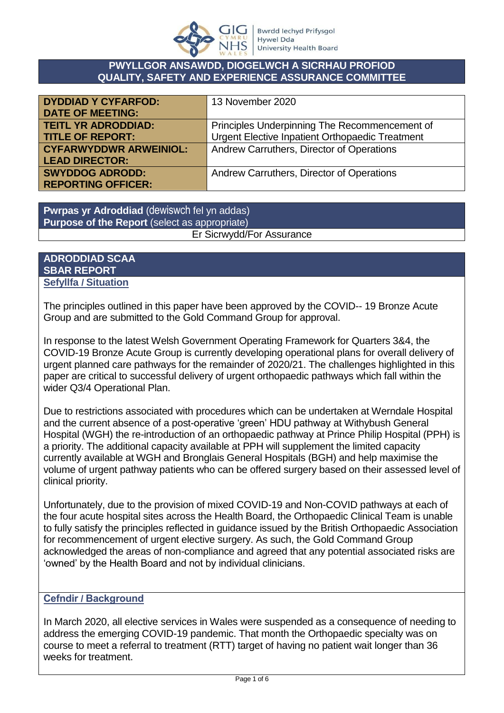

#### **PWYLLGOR ANSAWDD, DIOGELWCH A SICRHAU PROFIOD QUALITY, SAFETY AND EXPERIENCE ASSURANCE COMMITTEE**

| <b>DYDDIAD Y CYFARFOD:</b>    | 13 November 2020                                |
|-------------------------------|-------------------------------------------------|
| <b>DATE OF MEETING:</b>       |                                                 |
| <b>TEITL YR ADRODDIAD:</b>    | Principles Underpinning The Recommencement of   |
| <b>TITLE OF REPORT:</b>       | Urgent Elective Inpatient Orthopaedic Treatment |
| <b>CYFARWYDDWR ARWEINIOL:</b> | Andrew Carruthers, Director of Operations       |
| <b>LEAD DIRECTOR:</b>         |                                                 |
| <b>SWYDDOG ADRODD:</b>        | Andrew Carruthers, Director of Operations       |
| <b>REPORTING OFFICER:</b>     |                                                 |

**Pwrpas yr Adroddiad** (dewiswch fel yn addas) **Purpose of the Report** (select as appropriate) Er Sicrwydd/For Assurance

#### **ADRODDIAD SCAA SBAR REPORT Sefyllfa / Situation**

The principles outlined in this paper have been approved by the COVID-- 19 Bronze Acute Group and are submitted to the Gold Command Group for approval.

In response to the latest Welsh Government Operating Framework for Quarters 3&4, the COVID-19 Bronze Acute Group is currently developing operational plans for overall delivery of urgent planned care pathways for the remainder of 2020/21. The challenges highlighted in this paper are critical to successful delivery of urgent orthopaedic pathways which fall within the wider Q3/4 Operational Plan.

Due to restrictions associated with procedures which can be undertaken at Werndale Hospital and the current absence of a post-operative 'green' HDU pathway at Withybush General Hospital (WGH) the re-introduction of an orthopaedic pathway at Prince Philip Hospital (PPH) is a priority. The additional capacity available at PPH will supplement the limited capacity currently available at WGH and Bronglais General Hospitals (BGH) and help maximise the volume of urgent pathway patients who can be offered surgery based on their assessed level of clinical priority.

Unfortunately, due to the provision of mixed COVID-19 and Non-COVID pathways at each of the four acute hospital sites across the Health Board, the Orthopaedic Clinical Team is unable to fully satisfy the principles reflected in guidance issued by the British Orthopaedic Association for recommencement of urgent elective surgery. As such, the Gold Command Group acknowledged the areas of non-compliance and agreed that any potential associated risks are 'owned' by the Health Board and not by individual clinicians.

## **Cefndir / Background**

In March 2020, all elective services in Wales were suspended as a consequence of needing to address the emerging COVID-19 pandemic. That month the Orthopaedic specialty was on course to meet a referral to treatment (RTT) target of having no patient wait longer than 36 weeks for treatment.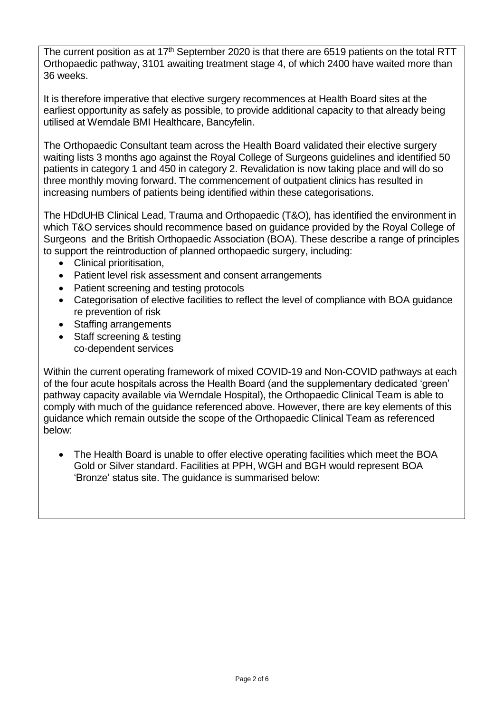The current position as at 17<sup>th</sup> September 2020 is that there are 6519 patients on the total RTT Orthopaedic pathway, 3101 awaiting treatment stage 4, of which 2400 have waited more than 36 weeks.

It is therefore imperative that elective surgery recommences at Health Board sites at the earliest opportunity as safely as possible, to provide additional capacity to that already being utilised at Werndale BMI Healthcare, Bancyfelin.

The Orthopaedic Consultant team across the Health Board validated their elective surgery waiting lists 3 months ago against the Royal College of Surgeons guidelines and identified 50 patients in category 1 and 450 in category 2. Revalidation is now taking place and will do so three monthly moving forward. The commencement of outpatient clinics has resulted in increasing numbers of patients being identified within these categorisations.

The HDdUHB Clinical Lead, Trauma and Orthopaedic (T&O)*,* has identified the environment in which T&O services should recommence based on guidance provided by the Royal College of Surgeons and the British Orthopaedic Association (BOA). These describe a range of principles to support the reintroduction of planned orthopaedic surgery, including:

- Clinical prioritisation,
- Patient level risk assessment and consent arrangements
- Patient screening and testing protocols
- Categorisation of elective facilities to reflect the level of compliance with BOA guidance re prevention of risk
- Staffing arrangements
- Staff screening & testing co-dependent services

Within the current operating framework of mixed COVID-19 and Non-COVID pathways at each of the four acute hospitals across the Health Board (and the supplementary dedicated 'green' pathway capacity available via Werndale Hospital), the Orthopaedic Clinical Team is able to comply with much of the guidance referenced above. However, there are key elements of this guidance which remain outside the scope of the Orthopaedic Clinical Team as referenced below:

 The Health Board is unable to offer elective operating facilities which meet the BOA Gold or Silver standard. Facilities at PPH, WGH and BGH would represent BOA 'Bronze' status site. The guidance is summarised below: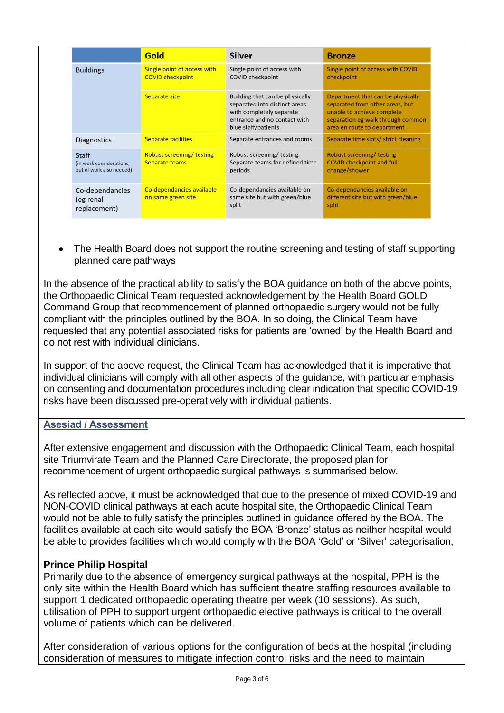|                                                               | <b>Gold</b>                                            | <b>Silver</b>                                                                                                                                       | <b>Bronze</b>                                                                                                                                                          |
|---------------------------------------------------------------|--------------------------------------------------------|-----------------------------------------------------------------------------------------------------------------------------------------------------|------------------------------------------------------------------------------------------------------------------------------------------------------------------------|
| <b>Buildings</b>                                              | Single point of access with<br><b>COVID checkpoint</b> | Single point of access with<br><b>COVID checkpoint</b>                                                                                              | Single point of access with COVID<br>checkpoint                                                                                                                        |
|                                                               | <b>Separate site</b>                                   | Building that can be physically<br>separated into distinct areas<br>with completely separate<br>entrance and no contact with<br>blue staff/patients | Department that can be physically<br>separated from other areas, but<br>unable to achieve complete<br>separation eg walk through common<br>area en route to department |
| <b>Diagnostics</b>                                            | <b>Separate facilities</b>                             | Separate entrances and rooms                                                                                                                        | Separate time slots/ strict cleaning                                                                                                                                   |
| Staff<br>(in work considerations,<br>out of work also needed) | <b>Robust screening/ testing</b><br>Separate teams     | Robust screening/testing<br>Separate teams for defined time<br>periods                                                                              | Robust screening/testing<br><b>COVID checkpoint and full</b><br>change/shower                                                                                          |
| Co-dependancies<br>(eg renal<br>replacement)                  | Co-dependancies available<br>on same green site        | Co-dependancies available on<br>same site but with green/blue<br>split                                                                              | Co-dependancies available on<br>different site but with green/blue<br>split                                                                                            |

 The Health Board does not support the routine screening and testing of staff supporting planned care pathways

In the absence of the practical ability to satisfy the BOA guidance on both of the above points, the Orthopaedic Clinical Team requested acknowledgement by the Health Board GOLD Command Group that recommencement of planned orthopaedic surgery would not be fully compliant with the principles outlined by the BOA. In so doing, the Clinical Team have requested that any potential associated risks for patients are 'owned' by the Health Board and do not rest with individual clinicians.

In support of the above request, the Clinical Team has acknowledged that it is imperative that individual clinicians will comply with all other aspects of the guidance, with particular emphasis on consenting and documentation procedures including clear indication that specific COVID-19 risks have been discussed pre-operatively with individual patients.

## **Asesiad / Assessment**

After extensive engagement and discussion with the Orthopaedic Clinical Team, each hospital site Triumvirate Team and the Planned Care Directorate, the proposed plan for recommencement of urgent orthopaedic surgical pathways is summarised below.

As reflected above, it must be acknowledged that due to the presence of mixed COVID-19 and NON-COVID clinical pathways at each acute hospital site, the Orthopaedic Clinical Team would not be able to fully satisfy the principles outlined in guidance offered by the BOA. The facilities available at each site would satisfy the BOA 'Bronze' status as neither hospital would be able to provides facilities which would comply with the BOA 'Gold' or 'Silver' categorisation,

## **Prince Philip Hospital**

Primarily due to the absence of emergency surgical pathways at the hospital, PPH is the only site within the Health Board which has sufficient theatre staffing resources available to support 1 dedicated orthopaedic operating theatre per week (10 sessions). As such, utilisation of PPH to support urgent orthopaedic elective pathways is critical to the overall volume of patients which can be delivered.

After consideration of various options for the configuration of beds at the hospital (including consideration of measures to mitigate infection control risks and the need to maintain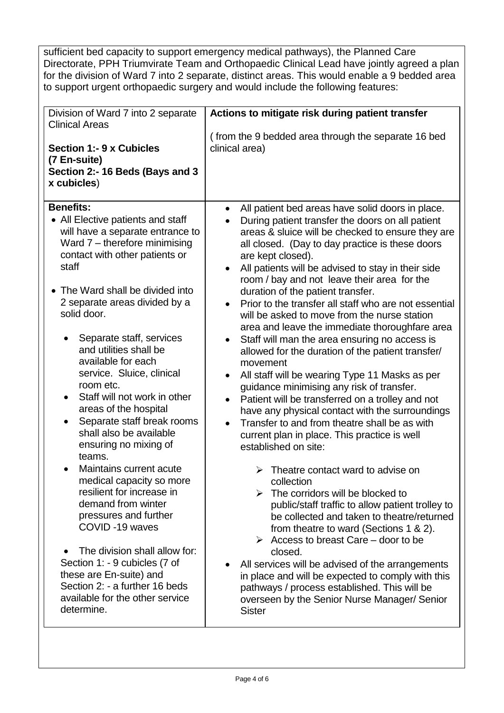sufficient bed capacity to support emergency medical pathways), the Planned Care Directorate, PPH Triumvirate Team and Orthopaedic Clinical Lead have jointly agreed a plan for the division of Ward 7 into 2 separate, distinct areas. This would enable a 9 bedded area to support urgent orthopaedic surgery and would include the following features:

| Division of Ward 7 into 2 separate                                                                                                                                                                                                                                      | Actions to mitigate risk during patient transfer                                                                                                                                                                                                                                                                                                                                                                                                                        |
|-------------------------------------------------------------------------------------------------------------------------------------------------------------------------------------------------------------------------------------------------------------------------|-------------------------------------------------------------------------------------------------------------------------------------------------------------------------------------------------------------------------------------------------------------------------------------------------------------------------------------------------------------------------------------------------------------------------------------------------------------------------|
| <b>Clinical Areas</b><br><b>Section 1:- 9 x Cubicles</b><br>(7 En-suite)<br>Section 2:- 16 Beds (Bays and 3<br>x cubicles)                                                                                                                                              | (from the 9 bedded area through the separate 16 bed<br>clinical area)                                                                                                                                                                                                                                                                                                                                                                                                   |
| <b>Benefits:</b>                                                                                                                                                                                                                                                        | All patient bed areas have solid doors in place.<br>$\bullet$                                                                                                                                                                                                                                                                                                                                                                                                           |
| All Elective patients and staff<br>will have a separate entrance to<br>Ward 7 - therefore minimising<br>contact with other patients or<br>staff                                                                                                                         | During patient transfer the doors on all patient<br>areas & sluice will be checked to ensure they are<br>all closed. (Day to day practice is these doors<br>are kept closed).<br>All patients will be advised to stay in their side<br>$\bullet$<br>room / bay and not leave their area for the                                                                                                                                                                         |
| The Ward shall be divided into                                                                                                                                                                                                                                          | duration of the patient transfer.                                                                                                                                                                                                                                                                                                                                                                                                                                       |
| 2 separate areas divided by a<br>solid door.                                                                                                                                                                                                                            | Prior to the transfer all staff who are not essential<br>will be asked to move from the nurse station<br>area and leave the immediate thoroughfare area                                                                                                                                                                                                                                                                                                                 |
| Separate staff, services<br>and utilities shall be<br>available for each<br>service. Sluice, clinical<br>room etc.<br>Staff will not work in other<br>areas of the hospital<br>Separate staff break rooms<br>shall also be available<br>ensuring no mixing of<br>teams. | Staff will man the area ensuring no access is<br>allowed for the duration of the patient transfer/<br>movement<br>All staff will be wearing Type 11 Masks as per<br>$\bullet$<br>guidance minimising any risk of transfer.<br>Patient will be transferred on a trolley and not<br>$\bullet$<br>have any physical contact with the surroundings<br>Transfer to and from theatre shall be as with<br>current plan in place. This practice is well<br>established on site: |
| Maintains current acute<br>medical capacity so more<br>resilient for increase in<br>demand from winter<br>pressures and further<br>COVID-19 waves                                                                                                                       | Theatre contact ward to advise on<br>collection<br>The corridors will be blocked to<br>public/staff traffic to allow patient trolley to<br>be collected and taken to theatre/returned<br>from theatre to ward (Sections 1 & 2).<br>$\triangleright$ Access to breast Care – door to be                                                                                                                                                                                  |
| The division shall allow for:<br>Section 1: - 9 cubicles (7 of<br>these are En-suite) and<br>Section 2: - a further 16 beds<br>available for the other service<br>determine.                                                                                            | closed.<br>All services will be advised of the arrangements<br>in place and will be expected to comply with this<br>pathways / process established. This will be<br>overseen by the Senior Nurse Manager/ Senior<br><b>Sister</b>                                                                                                                                                                                                                                       |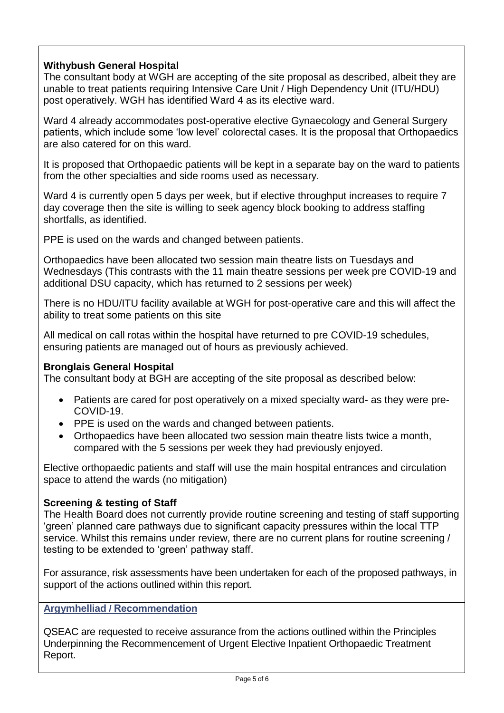# **Withybush General Hospital**

The consultant body at WGH are accepting of the site proposal as described, albeit they are unable to treat patients requiring Intensive Care Unit / High Dependency Unit (ITU/HDU) post operatively. WGH has identified Ward 4 as its elective ward.

Ward 4 already accommodates post-operative elective Gynaecology and General Surgery patients, which include some 'low level' colorectal cases. It is the proposal that Orthopaedics are also catered for on this ward.

It is proposed that Orthopaedic patients will be kept in a separate bay on the ward to patients from the other specialties and side rooms used as necessary.

Ward 4 is currently open 5 days per week, but if elective throughput increases to require 7 day coverage then the site is willing to seek agency block booking to address staffing shortfalls, as identified.

PPE is used on the wards and changed between patients.

Orthopaedics have been allocated two session main theatre lists on Tuesdays and Wednesdays (This contrasts with the 11 main theatre sessions per week pre COVID-19 and additional DSU capacity, which has returned to 2 sessions per week)

There is no HDU/ITU facility available at WGH for post-operative care and this will affect the ability to treat some patients on this site

All medical on call rotas within the hospital have returned to pre COVID-19 schedules, ensuring patients are managed out of hours as previously achieved.

## **Bronglais General Hospital**

The consultant body at BGH are accepting of the site proposal as described below:

- Patients are cared for post operatively on a mixed specialty ward- as they were pre-COVID-19.
- PPE is used on the wards and changed between patients.
- Orthopaedics have been allocated two session main theatre lists twice a month, compared with the 5 sessions per week they had previously enjoyed.

Elective orthopaedic patients and staff will use the main hospital entrances and circulation space to attend the wards (no mitigation)

## **Screening & testing of Staff**

The Health Board does not currently provide routine screening and testing of staff supporting 'green' planned care pathways due to significant capacity pressures within the local TTP service. Whilst this remains under review, there are no current plans for routine screening / testing to be extended to 'green' pathway staff.

For assurance, risk assessments have been undertaken for each of the proposed pathways, in support of the actions outlined within this report.

**Argymhelliad / Recommendation**

QSEAC are requested to receive assurance from the actions outlined within the Principles Underpinning the Recommencement of Urgent Elective Inpatient Orthopaedic Treatment Report.